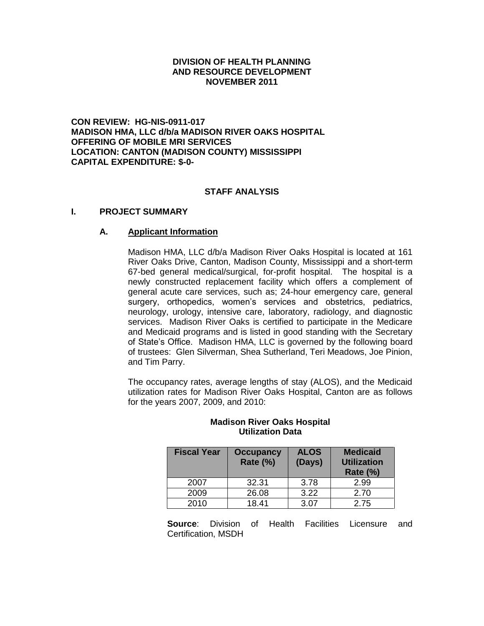### **DIVISION OF HEALTH PLANNING AND RESOURCE DEVELOPMENT NOVEMBER 2011**

**CON REVIEW: HG-NIS-0911-017 MADISON HMA, LLC d/b/a MADISON RIVER OAKS HOSPITAL OFFERING OF MOBILE MRI SERVICES LOCATION: CANTON (MADISON COUNTY) MISSISSIPPI CAPITAL EXPENDITURE: \$-0-**

### **STAFF ANALYSIS**

### **I. PROJECT SUMMARY**

### **A. Applicant Information**

Madison HMA, LLC d/b/a Madison River Oaks Hospital is located at 161 River Oaks Drive, Canton, Madison County, Mississippi and a short-term 67-bed general medical/surgical, for-profit hospital. The hospital is a newly constructed replacement facility which offers a complement of general acute care services, such as; 24-hour emergency care, general surgery, orthopedics, women's services and obstetrics, pediatrics, neurology, urology, intensive care, laboratory, radiology, and diagnostic services. Madison River Oaks is certified to participate in the Medicare and Medicaid programs and is listed in good standing with the Secretary of State's Office. Madison HMA, LLC is governed by the following board of trustees: Glen Silverman, Shea Sutherland, Teri Meadows, Joe Pinion, and Tim Parry.

The occupancy rates, average lengths of stay (ALOS), and the Medicaid utilization rates for Madison River Oaks Hospital, Canton are as follows for the years 2007, 2009, and 2010:

| <b>Fiscal Year</b> | <b>Occupancy</b><br><b>Rate (%)</b> | <b>ALOS</b><br>(Days) | <b>Medicaid</b><br><b>Utilization</b><br><b>Rate (%)</b> |
|--------------------|-------------------------------------|-----------------------|----------------------------------------------------------|
| 2007               | 32.31                               | 3.78                  | 2.99                                                     |
| 2009               | 26.08                               | 3.22                  | 2.70                                                     |
| 2010               | 18.41                               | 3.07                  | 2.75                                                     |

#### **Madison River Oaks Hospital Utilization Data**

**Source**: Division of Health Facilities Licensure and Certification, MSDH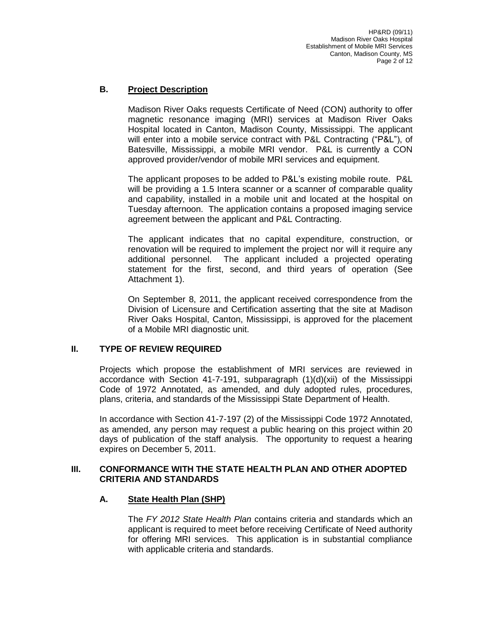# **B. Project Description**

Madison River Oaks requests Certificate of Need (CON) authority to offer magnetic resonance imaging (MRI) services at Madison River Oaks Hospital located in Canton, Madison County, Mississippi. The applicant will enter into a mobile service contract with P&L Contracting ("P&L"), of Batesville, Mississippi, a mobile MRI vendor. P&L is currently a CON approved provider/vendor of mobile MRI services and equipment.

The applicant proposes to be added to P&L's existing mobile route. P&L will be providing a 1.5 Intera scanner or a scanner of comparable quality and capability, installed in a mobile unit and located at the hospital on Tuesday afternoon. The application contains a proposed imaging service agreement between the applicant and P&L Contracting.

The applicant indicates that no capital expenditure, construction, or renovation will be required to implement the project nor will it require any additional personnel. The applicant included a projected operating statement for the first, second, and third years of operation (See Attachment 1).

On September 8, 2011, the applicant received correspondence from the Division of Licensure and Certification asserting that the site at Madison River Oaks Hospital, Canton, Mississippi, is approved for the placement of a Mobile MRI diagnostic unit.

## **II. TYPE OF REVIEW REQUIRED**

Projects which propose the establishment of MRI services are reviewed in accordance with Section 41-7-191, subparagraph (1)(d)(xii) of the Mississippi Code of 1972 Annotated, as amended, and duly adopted rules, procedures, plans, criteria, and standards of the Mississippi State Department of Health.

In accordance with Section 41-7-197 (2) of the Mississippi Code 1972 Annotated, as amended, any person may request a public hearing on this project within 20 days of publication of the staff analysis. The opportunity to request a hearing expires on December 5, 2011.

## **III. CONFORMANCE WITH THE STATE HEALTH PLAN AND OTHER ADOPTED CRITERIA AND STANDARDS**

## **A. State Health Plan (SHP)**

The *FY 2012 State Health Plan* contains criteria and standards which an applicant is required to meet before receiving Certificate of Need authority for offering MRI services. This application is in substantial compliance with applicable criteria and standards.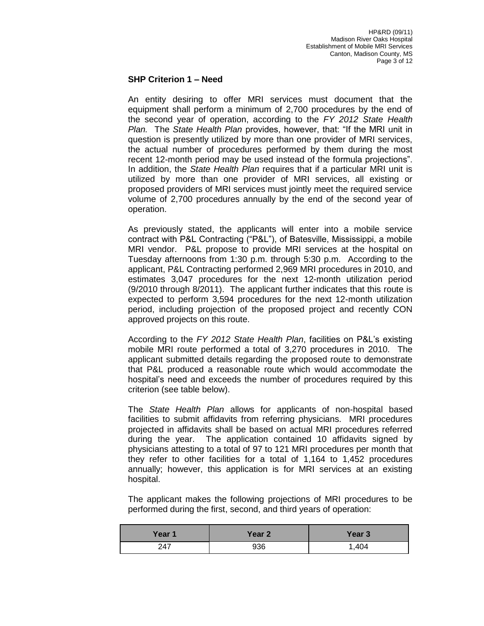### **SHP Criterion 1 – Need**

An entity desiring to offer MRI services must document that the equipment shall perform a minimum of 2,700 procedures by the end of the second year of operation, according to the *FY 2012 State Health Plan.* The *State Health Plan* provides, however, that: "If the MRI unit in question is presently utilized by more than one provider of MRI services, the actual number of procedures performed by them during the most recent 12-month period may be used instead of the formula projections". In addition, the *State Health Plan* requires that if a particular MRI unit is utilized by more than one provider of MRI services, all existing or proposed providers of MRI services must jointly meet the required service volume of 2,700 procedures annually by the end of the second year of operation.

As previously stated, the applicants will enter into a mobile service contract with P&L Contracting ("P&L"), of Batesville, Mississippi, a mobile MRI vendor. P&L propose to provide MRI services at the hospital on Tuesday afternoons from 1:30 p.m. through 5:30 p.m. According to the applicant, P&L Contracting performed 2,969 MRI procedures in 2010, and estimates 3,047 procedures for the next 12-month utilization period (9/2010 through 8/2011). The applicant further indicates that this route is expected to perform 3,594 procedures for the next 12-month utilization period, including projection of the proposed project and recently CON approved projects on this route.

According to the *FY 2012 State Health Plan*, facilities on P&L's existing mobile MRI route performed a total of 3,270 procedures in 2010. The applicant submitted details regarding the proposed route to demonstrate that P&L produced a reasonable route which would accommodate the hospital's need and exceeds the number of procedures required by this criterion (see table below).

The *State Health Plan* allows for applicants of non-hospital based facilities to submit affidavits from referring physicians. MRI procedures projected in affidavits shall be based on actual MRI procedures referred during the year. The application contained 10 affidavits signed by physicians attesting to a total of 97 to 121 MRI procedures per month that they refer to other facilities for a total of 1,164 to 1,452 procedures annually; however, this application is for MRI services at an existing hospital.

The applicant makes the following projections of MRI procedures to be performed during the first, second, and third years of operation:

| Year 1 | Year 2 | Year 3 |
|--------|--------|--------|
| 247    | 936    | ,404   |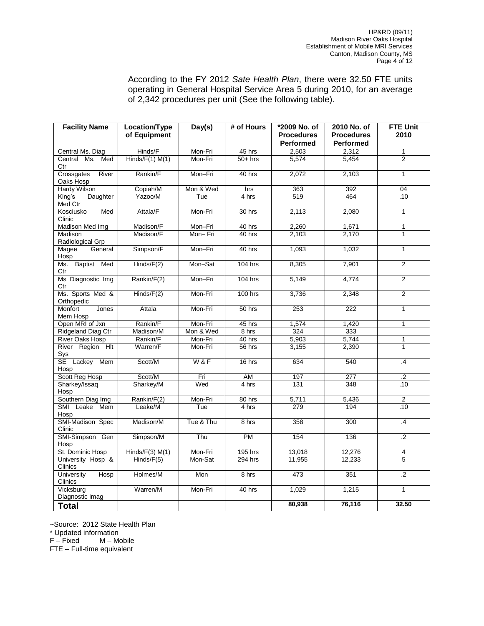According to the FY 2012 *Sate Health Plan*, there were 32.50 FTE units operating in General Hospital Service Area 5 during 2010, for an average of 2,342 procedures per unit (See the following table).

| <b>Facility Name</b>             | Location/Type<br>of Equipment | Day(s)         | # of Hours     | *2009 No. of<br><b>Procedures</b> | 2010 No. of<br><b>Procedures</b> | <b>FTE Unit</b><br>2010 |
|----------------------------------|-------------------------------|----------------|----------------|-----------------------------------|----------------------------------|-------------------------|
|                                  |                               |                |                | <b>Performed</b>                  | <b>Performed</b>                 |                         |
| Central Ms. Diag                 | Hinds/F                       | Mon-Fri        | 45 hrs         | 2,503                             | 2,312                            | $\mathbf{1}$            |
| Central Ms. Med<br>Ctr           | Hinds/F(1) M(1)               | Mon-Fri        | $50+$ hrs      | 5,574                             | 5,454                            | 2                       |
| Crossgates<br>River<br>Oaks Hosp | Rankin/F                      | Mon-Fri        | 40 hrs         | 2,072                             | 2,103                            | $\mathbf{1}$            |
| Hardy Wilson                     | Copiah/M                      | Mon & Wed      | hrs            | 363                               | 392                              | 04                      |
| Daughter<br>King's<br>Med Ctr    | Yazoo/M                       | Tue            | 4 hrs          | 519                               | 464                              | .10                     |
| Kosciusko<br>Med<br>Clinic       | Attala/F                      | Mon-Fri        | $30$ hrs       | 2,113                             | 2,080                            | $\overline{1}$          |
| Madison Med Img                  | Madison/F                     | Mon-Fri        | 40 hrs         | 2,260                             | 1,671                            | $\mathbf{1}$            |
| Madison<br>Radiological Grp      | Madison/F                     | Mon-Fri        | 40 hrs         | 2,103                             | 2,170                            | 1                       |
| Magee<br>General<br>Hosp         | Simpson/F                     | Mon-Fri        | 40 hrs         | 1,093                             | 1,032                            | $\overline{1}$          |
| Ms. Baptist Med<br>Ctr           | Hinds/F(2)                    | Mon-Sat        | <b>104 hrs</b> | 8,305                             | 7,901                            | 2                       |
| Ms Diagnostic Img<br>Ctr         | Rankin/F(2)                   | Mon-Fri        | <b>104 hrs</b> | 5,149                             | 4,774                            | $\overline{2}$          |
| Ms. Sports Med &<br>Orthopedic   | Hinds/F(2)                    | Mon-Fri        | <b>100 hrs</b> | 3,736                             | 2,348                            | 2                       |
| Monfort<br>Jones<br>Mem Hosp     | Attala                        | Mon-Fri        | 50 hrs         | 253                               | 222                              | $\overline{1}$          |
| Open MRI of Jxn                  | Rankin/F                      | Mon-Fri        | 45 hrs         | 1,574                             | 1,420                            | $\mathbf{1}$            |
| Ridgeland Diag Ctr               | Madison/M                     | Mon & Wed      | 8 hrs          | 324                               | 333                              |                         |
| <b>River Oaks Hosp</b>           | Rankin/F                      | Mon-Fri        | 40 hrs         | 5,903                             | 5,744                            | 1                       |
| River Region Hlt<br>Sys          | Warren/F                      | Mon-Fri        | 56 hrs         | 3,155                             | 2,390                            | 1                       |
| SE Lackey<br>Mem<br>Hosp         | Scott/M                       | <b>W&amp;F</b> | 16 hrs         | 634                               | 540                              | $\overline{.4}$         |
| Scott Reg Hosp                   | Scott/M                       | Fri            | AM             | 197                               | 277                              | $\overline{.2}$         |
| Sharkey/Issaq<br>Hosp            | Sharkey/M                     | Wed            | 4 hrs          | 131                               | 348                              | .10                     |
| Southern Diag Img                | Rankin/F(2)                   | Mon-Fri        | 80 hrs         | 5,711                             | 5,436                            | $\overline{2}$          |
| SMI Leake Mem<br>Hosp            | Leake/M                       | Tue            | 4 hrs          | 279                               | 194                              | .10                     |
| SMI-Madison Spec<br>Clinic       | Madison/M                     | Tue & Thu      | 8 hrs          | 358                               | 300                              | .4                      |
| SMI-Simpson Gen<br>Hosp          | Simpson/M                     | Thu            | <b>PM</b>      | 154                               | 136                              | $\cdot$ .2              |
| St. Dominic Hosp                 | Hinds/ $F(3)$ M(1)            | Mon-Fri        | 195 hrs        | 13,018                            | 12,276                           | $\overline{4}$          |
| University Hosp &<br>Clinics     | Hinds/F(5)                    | Mon-Sat        | 294 hrs        | 11,955                            | 12,233                           | 5                       |
| University<br>Hosp<br>Clinics    | Holmes/M                      | Mon            | 8 hrs          | 473                               | 351                              | $\overline{.2}$         |
| Vicksburg<br>Diagnostic Imag     | Warren/M                      | Mon-Fri        | 40 hrs         | 1,029                             | 1,215                            | $\mathbf{1}$            |
| <b>Total</b>                     |                               |                |                | 80,938                            | 76,116                           | 32.50                   |

~Source: 2012 State Health Plan

 $*$  Updated information<br> $F - Fixed$   $M - Mc$ 

 $M -$ Mobile

FTE – Full-time equivalent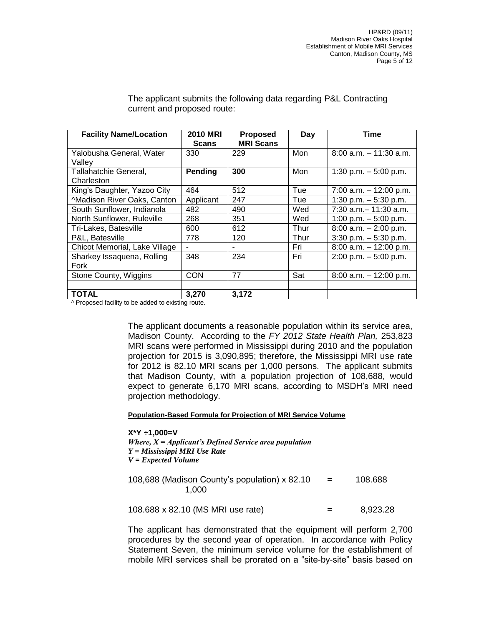| <b>Facility Name/Location</b> | <b>2010 MRI</b> | <b>Proposed</b>  | Day  | <b>Time</b>               |
|-------------------------------|-----------------|------------------|------|---------------------------|
|                               | <b>Scans</b>    | <b>MRI Scans</b> |      |                           |
| Yalobusha General, Water      | 330             | 229              | Mon  | $8:00$ a.m. $-11:30$ a.m. |
| Vallev                        |                 |                  |      |                           |
| Tallahatchie General,         | Pending         | 300              | Mon  | 1:30 p.m. $-5:00$ p.m.    |
| Charleston                    |                 |                  |      |                           |
| King's Daughter, Yazoo City   | 464             | 512              | Tue  | $7:00$ a.m. $-12:00$ p.m. |
| ^Madison River Oaks, Canton   | Applicant       | 247              | Tue  | 1:30 p.m. $-5:30$ p.m.    |
| South Sunflower, Indianola    | 482             | 490              | Wed  | $7:30$ a.m. $-11:30$ a.m. |
| North Sunflower, Ruleville    | 268             | 351              | Wed  | 1:00 p.m. $-5:00$ p.m.    |
| Tri-Lakes, Batesville         | 600             | 612              | Thur | $8:00$ a.m. $-2:00$ p.m.  |
| P&L, Batesville               | 778             | 120              | Thur | $3:30$ p.m. $-5:30$ p.m.  |
| Chicot Memorial, Lake Village |                 |                  | Fri  | $8:00$ a.m. $-12:00$ p.m. |
| Sharkey Issaquena, Rolling    | 348             | 234              | Fri  | $2:00$ p.m. $-5:00$ p.m.  |
| Fork                          |                 |                  |      |                           |
| Stone County, Wiggins         | <b>CON</b>      | 77               | Sat  | $8:00$ a.m. $-12:00$ p.m. |
|                               |                 |                  |      |                           |
| <b>TOTAL</b><br>.<br>$\cdots$ | 3,270           | 3,172            |      |                           |

The applicant submits the following data regarding P&L Contracting current and proposed route:

^ Proposed facility to be added to existing route.

The applicant documents a reasonable population within its service area, Madison County. According to the *FY 2012 State Health Plan,* 253,823 MRI scans were performed in Mississippi during 2010 and the population projection for 2015 is 3,090,895; therefore, the Mississippi MRI use rate for 2012 is 82.10 MRI scans per 1,000 persons. The applicant submits that Madison County, with a population projection of 108,688, would expect to generate 6,170 MRI scans, according to MSDH's MRI need projection methodology.

#### **Population-Based Formula for Projection of MRI Service Volume**

**X\*Y ÷1,000=V** *Where, X = Applicant's Defined Service area population Y = Mississippi MRI Use Rate V = Expected Volume*

| 108,688 (Madison County's population) x 82.10 | $=$ | 108.688 |
|-----------------------------------------------|-----|---------|
| 1.000                                         |     |         |

108.688 x 82.10 (MS MRI use rate)  $=$  8,923.28

The applicant has demonstrated that the equipment will perform 2,700 procedures by the second year of operation. In accordance with Policy Statement Seven, the minimum service volume for the establishment of mobile MRI services shall be prorated on a "site-by-site" basis based on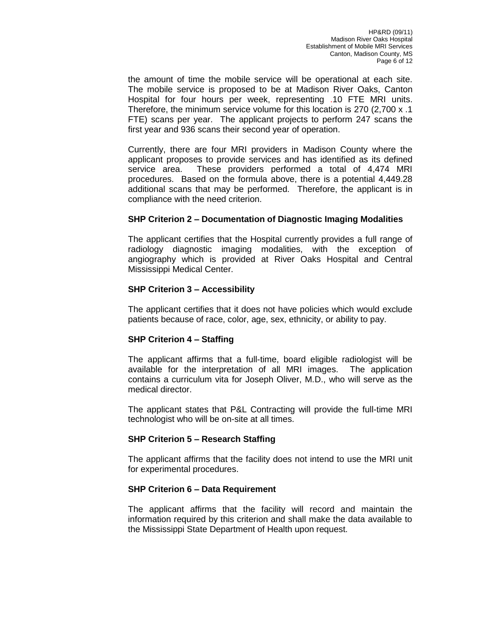the amount of time the mobile service will be operational at each site. The mobile service is proposed to be at Madison River Oaks, Canton Hospital for four hours per week, representing .10 FTE MRI units. Therefore, the minimum service volume for this location is 270 (2,700 x .1 FTE) scans per year. The applicant projects to perform 247 scans the first year and 936 scans their second year of operation.

Currently, there are four MRI providers in Madison County where the applicant proposes to provide services and has identified as its defined service area. These providers performed a total of 4,474 MRI procedures. Based on the formula above, there is a potential 4,449.28 additional scans that may be performed. Therefore, the applicant is in compliance with the need criterion.

### **SHP Criterion 2 – Documentation of Diagnostic Imaging Modalities**

The applicant certifies that the Hospital currently provides a full range of radiology diagnostic imaging modalities, with the exception of angiography which is provided at River Oaks Hospital and Central Mississippi Medical Center.

### **SHP Criterion 3 – Accessibility**

The applicant certifies that it does not have policies which would exclude patients because of race, color, age, sex, ethnicity, or ability to pay.

## **SHP Criterion 4 – Staffing**

The applicant affirms that a full-time, board eligible radiologist will be available for the interpretation of all MRI images. The application contains a curriculum vita for Joseph Oliver, M.D., who will serve as the medical director.

The applicant states that P&L Contracting will provide the full-time MRI technologist who will be on-site at all times.

## **SHP Criterion 5 – Research Staffing**

The applicant affirms that the facility does not intend to use the MRI unit for experimental procedures.

### **SHP Criterion 6 – Data Requirement**

The applicant affirms that the facility will record and maintain the information required by this criterion and shall make the data available to the Mississippi State Department of Health upon request.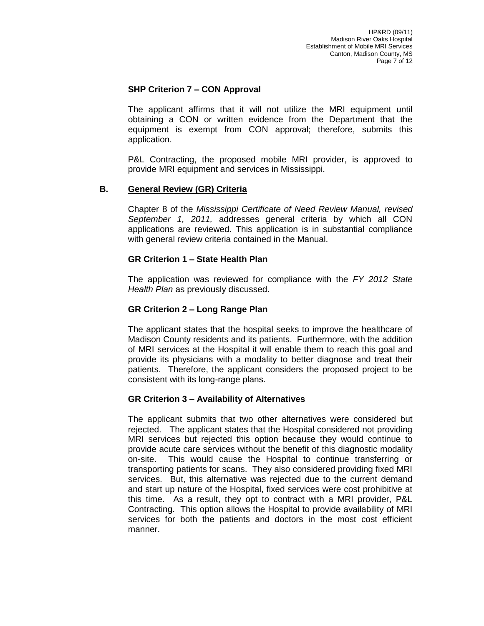## **SHP Criterion 7 – CON Approval**

The applicant affirms that it will not utilize the MRI equipment until obtaining a CON or written evidence from the Department that the equipment is exempt from CON approval; therefore, submits this application.

P&L Contracting, the proposed mobile MRI provider, is approved to provide MRI equipment and services in Mississippi.

### **B. General Review (GR) Criteria**

Chapter 8 of the *Mississippi Certificate of Need Review Manual, revised September 1, 2011,* addresses general criteria by which all CON applications are reviewed. This application is in substantial compliance with general review criteria contained in the Manual.

### **GR Criterion 1 – State Health Plan**

The application was reviewed for compliance with the *FY 2012 State Health Plan* as previously discussed.

### **GR Criterion 2 – Long Range Plan**

The applicant states that the hospital seeks to improve the healthcare of Madison County residents and its patients. Furthermore, with the addition of MRI services at the Hospital it will enable them to reach this goal and provide its physicians with a modality to better diagnose and treat their patients. Therefore, the applicant considers the proposed project to be consistent with its long-range plans.

### **GR Criterion 3 – Availability of Alternatives**

The applicant submits that two other alternatives were considered but rejected. The applicant states that the Hospital considered not providing MRI services but rejected this option because they would continue to provide acute care services without the benefit of this diagnostic modality on-site. This would cause the Hospital to continue transferring or transporting patients for scans. They also considered providing fixed MRI services. But, this alternative was rejected due to the current demand and start up nature of the Hospital, fixed services were cost prohibitive at this time. As a result, they opt to contract with a MRI provider, P&L Contracting. This option allows the Hospital to provide availability of MRI services for both the patients and doctors in the most cost efficient manner.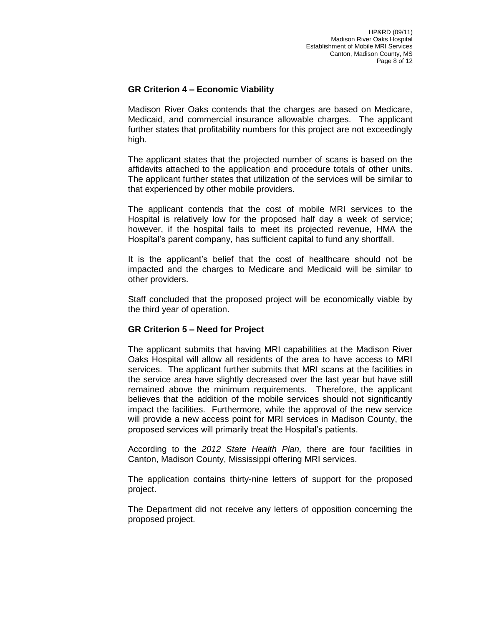## **GR Criterion 4 – Economic Viability**

Madison River Oaks contends that the charges are based on Medicare, Medicaid, and commercial insurance allowable charges. The applicant further states that profitability numbers for this project are not exceedingly high.

The applicant states that the projected number of scans is based on the affidavits attached to the application and procedure totals of other units. The applicant further states that utilization of the services will be similar to that experienced by other mobile providers.

The applicant contends that the cost of mobile MRI services to the Hospital is relatively low for the proposed half day a week of service; however, if the hospital fails to meet its projected revenue, HMA the Hospital's parent company, has sufficient capital to fund any shortfall.

It is the applicant's belief that the cost of healthcare should not be impacted and the charges to Medicare and Medicaid will be similar to other providers.

Staff concluded that the proposed project will be economically viable by the third year of operation.

### **GR Criterion 5 – Need for Project**

The applicant submits that having MRI capabilities at the Madison River Oaks Hospital will allow all residents of the area to have access to MRI services. The applicant further submits that MRI scans at the facilities in the service area have slightly decreased over the last year but have still remained above the minimum requirements. Therefore, the applicant believes that the addition of the mobile services should not significantly impact the facilities. Furthermore, while the approval of the new service will provide a new access point for MRI services in Madison County, the proposed services will primarily treat the Hospital's patients.

According to the *2012 State Health Plan,* there are four facilities in Canton, Madison County, Mississippi offering MRI services.

The application contains thirty-nine letters of support for the proposed project.

The Department did not receive any letters of opposition concerning the proposed project.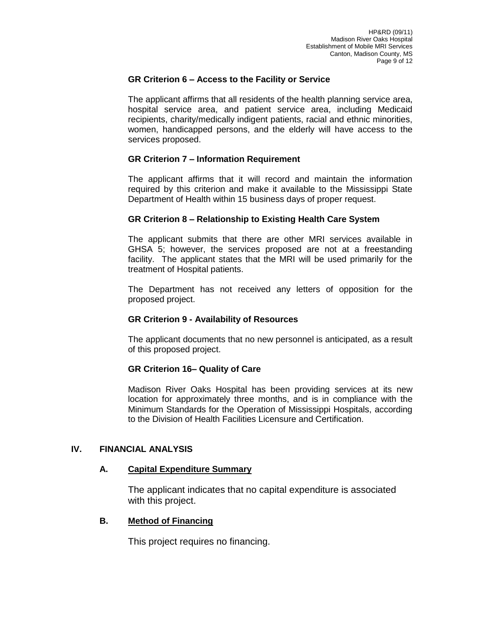### **GR Criterion 6 – Access to the Facility or Service**

The applicant affirms that all residents of the health planning service area, hospital service area, and patient service area, including Medicaid recipients, charity/medically indigent patients, racial and ethnic minorities, women, handicapped persons, and the elderly will have access to the services proposed.

### **GR Criterion 7 – Information Requirement**

The applicant affirms that it will record and maintain the information required by this criterion and make it available to the Mississippi State Department of Health within 15 business days of proper request.

### **GR Criterion 8 – Relationship to Existing Health Care System**

The applicant submits that there are other MRI services available in GHSA 5; however, the services proposed are not at a freestanding facility. The applicant states that the MRI will be used primarily for the treatment of Hospital patients.

The Department has not received any letters of opposition for the proposed project.

### **GR Criterion 9 - Availability of Resources**

The applicant documents that no new personnel is anticipated, as a result of this proposed project.

### **GR Criterion 16– Quality of Care**

Madison River Oaks Hospital has been providing services at its new location for approximately three months, and is in compliance with the Minimum Standards for the Operation of Mississippi Hospitals, according to the Division of Health Facilities Licensure and Certification.

### **IV. FINANCIAL ANALYSIS**

### **A. Capital Expenditure Summary**

The applicant indicates that no capital expenditure is associated with this project.

### **B. Method of Financing**

This project requires no financing.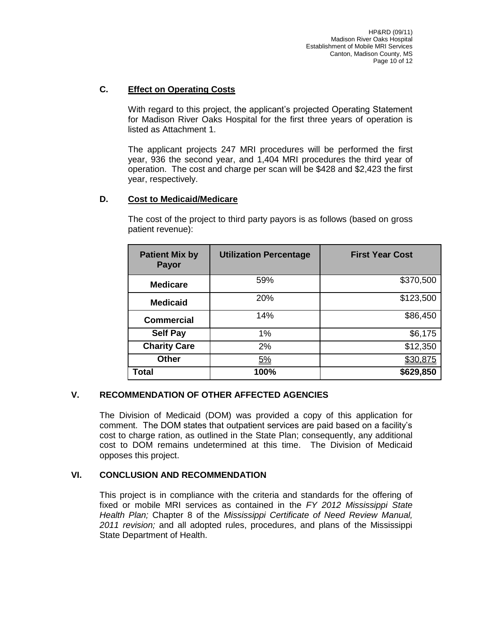# **C. Effect on Operating Costs**

With regard to this project, the applicant's projected Operating Statement for Madison River Oaks Hospital for the first three years of operation is listed as Attachment 1.

The applicant projects 247 MRI procedures will be performed the first year, 936 the second year, and 1,404 MRI procedures the third year of operation. The cost and charge per scan will be \$428 and \$2,423 the first year, respectively.

## **D. Cost to Medicaid/Medicare**

| <b>Patient Mix by</b><br>Payor | <b>Utilization Percentage</b> | <b>First Year Cost</b> |
|--------------------------------|-------------------------------|------------------------|
| <b>Medicare</b>                | 59%                           | \$370,500              |
| <b>Medicaid</b>                | 20%                           | \$123,500              |
| <b>Commercial</b>              | 14%                           | \$86,450               |
| <b>Self Pay</b>                | 1%                            | \$6,175                |
| <b>Charity Care</b>            | 2%                            | \$12,350               |
| <b>Other</b>                   | 5%                            | <u>\$30,875</u>        |
| Total                          | 100%                          | \$629,850              |

The cost of the project to third party payors is as follows (based on gross patient revenue):

## **V. RECOMMENDATION OF OTHER AFFECTED AGENCIES**

The Division of Medicaid (DOM) was provided a copy of this application for comment. The DOM states that outpatient services are paid based on a facility's cost to charge ration, as outlined in the State Plan; consequently, any additional cost to DOM remains undetermined at this time. The Division of Medicaid opposes this project.

### **VI. CONCLUSION AND RECOMMENDATION**

This project is in compliance with the criteria and standards for the offering of fixed or mobile MRI services as contained in the *FY 2012 Mississippi State Health Plan;* Chapter 8 of the *Mississippi Certificate of Need Review Manual, 2011 revision;* and all adopted rules, procedures, and plans of the Mississippi State Department of Health.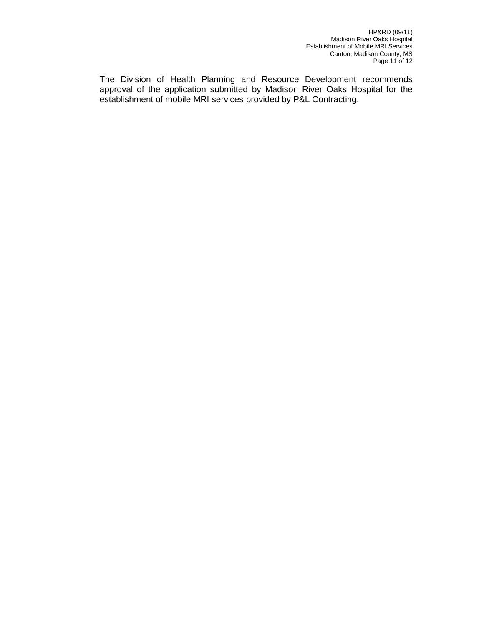The Division of Health Planning and Resource Development recommends approval of the application submitted by Madison River Oaks Hospital for the establishment of mobile MRI services provided by P&L Contracting.